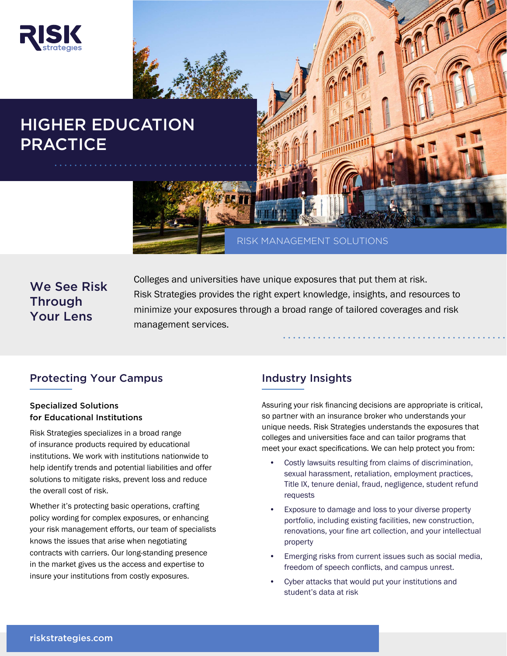

# HIGHER EDUCATION **PRACTICE**



# We See Risk **Through** Your Lens

Colleges and universities have unique exposures that put them at risk. Risk Strategies provides the right expert knowledge, insights, and resources to minimize your exposures through a broad range of tailored coverages and risk management services.

## Protecting Your Campus

### Specialized Solutions for Educational Institutions

Risk Strategies specializes in a broad range of insurance products required by educational institutions. We work with institutions nationwide to help identify trends and potential liabilities and offer solutions to mitigate risks, prevent loss and reduce the overall cost of risk.

Whether it's protecting basic operations, crafting policy wording for complex exposures, or enhancing your risk management efforts, our team of specialists knows the issues that arise when negotiating contracts with carriers. Our long-standing presence in the market gives us the access and expertise to insure your institutions from costly exposures.

## Industry Insights

Assuring your risk financing decisions are appropriate is critical, so partner with an insurance broker who understands your unique needs. Risk Strategies understands the exposures that colleges and universities face and can tailor programs that meet your exact specifications. We can help protect you from:

- Costly lawsuits resulting from claims of discrimination, sexual harassment, retaliation, employment practices, Title IX, tenure denial, fraud, negligence, student refund requests
- Exposure to damage and loss to your diverse property portfolio, including existing facilities, new construction, renovations, your fine art collection, and your intellectual property
- Emerging risks from current issues such as social media, freedom of speech conflicts, and campus unrest.
- Cyber attacks that would put your institutions and student's data at risk